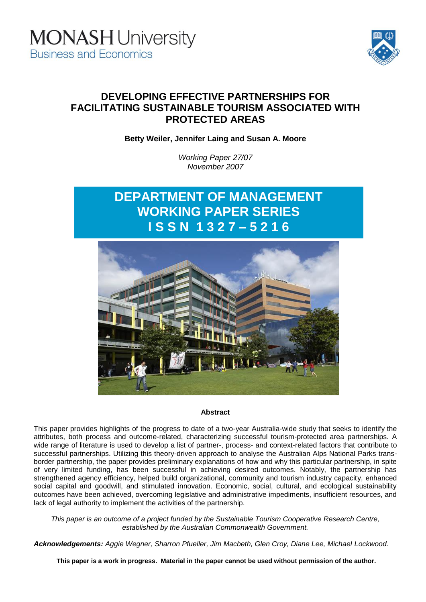



# **DEVELOPING EFFECTIVE PARTNERSHIPS FOR FACILITATING SUSTAINABLE TOURISM ASSOCIATED WITH PROTECTED AREAS**

**Betty Weiler, Jennifer Laing and Susan A. Moore**

*Working Paper 27/07 November 2007*

# **DEPARTMENT OF MANAGEMENT WORKING PAPER SERIES I S S N 1 3 2 7 – 5 2 1 6**



#### **Abstract**

This paper provides highlights of the progress to date of a two-year Australia-wide study that seeks to identify the attributes, both process and outcome-related, characterizing successful tourism-protected area partnerships. A wide range of literature is used to develop a list of partner-, process- and context-related factors that contribute to successful partnerships. Utilizing this theory-driven approach to analyse the Australian Alps National Parks transborder partnership, the paper provides preliminary explanations of how and why this particular partnership, in spite of very limited funding, has been successful in achieving desired outcomes. Notably, the partnership has strengthened agency efficiency, helped build organizational, community and tourism industry capacity, enhanced social capital and goodwill, and stimulated innovation. Economic, social, cultural, and ecological sustainability outcomes have been achieved, overcoming legislative and administrative impediments, insufficient resources, and lack of legal authority to implement the activities of the partnership.

*This paper is an outcome of a project funded by the Sustainable Tourism Cooperative Research Centre, established by the Australian Commonwealth Government.*

*Acknowledgements: Aggie Wegner, Sharron Pfueller, Jim Macbeth, Glen Croy, Diane Lee, Michael Lockwood.*

**This paper is a work in progress. Material in the paper cannot be used without permission of the author.**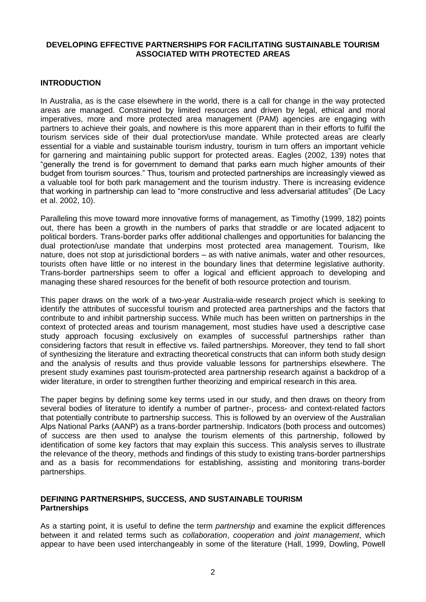#### **DEVELOPING EFFECTIVE PARTNERSHIPS FOR FACILITATING SUSTAINABLE TOURISM ASSOCIATED WITH PROTECTED AREAS**

#### **INTRODUCTION**

In Australia, as is the case elsewhere in the world, there is a call for change in the way protected areas are managed. Constrained by limited resources and driven by legal, ethical and moral imperatives, more and more protected area management (PAM) agencies are engaging with partners to achieve their goals, and nowhere is this more apparent than in their efforts to fulfil the tourism services side of their dual protection/use mandate. While protected areas are clearly essential for a viable and sustainable tourism industry, tourism in turn offers an important vehicle for garnering and maintaining public support for protected areas. Eagles (2002, 139) notes that "generally the trend is for government to demand that parks earn much higher amounts of their budget from tourism sources." Thus, tourism and protected partnerships are increasingly viewed as a valuable tool for both park management and the tourism industry. There is increasing evidence that working in partnership can lead to "more constructive and less adversarial attitudes" (De Lacy et al. 2002, 10).

Paralleling this move toward more innovative forms of management, as Timothy (1999, 182) points out, there has been a growth in the numbers of parks that straddle or are located adjacent to political borders. Trans-border parks offer additional challenges and opportunities for balancing the dual protection/use mandate that underpins most protected area management. Tourism, like nature, does not stop at jurisdictional borders – as with native animals, water and other resources, tourists often have little or no interest in the boundary lines that determine legislative authority. Trans-border partnerships seem to offer a logical and efficient approach to developing and managing these shared resources for the benefit of both resource protection and tourism.

This paper draws on the work of a two-year Australia-wide research project which is seeking to identify the attributes of successful tourism and protected area partnerships and the factors that contribute to and inhibit partnership success. While much has been written on partnerships in the context of protected areas and tourism management, most studies have used a descriptive case study approach focusing exclusively on examples of successful partnerships rather than considering factors that result in effective vs. failed partnerships. Moreover, they tend to fall short of synthesizing the literature and extracting theoretical constructs that can inform both study design and the analysis of results and thus provide valuable lessons for partnerships elsewhere. The present study examines past tourism-protected area partnership research against a backdrop of a wider literature, in order to strengthen further theorizing and empirical research in this area.

The paper begins by defining some key terms used in our study, and then draws on theory from several bodies of literature to identify a number of partner-, process- and context-related factors that potentially contribute to partnership success. This is followed by an overview of the Australian Alps National Parks (AANP) as a trans-border partnership. Indicators (both process and outcomes) of success are then used to analyse the tourism elements of this partnership, followed by identification of some key factors that may explain this success. This analysis serves to illustrate the relevance of the theory, methods and findings of this study to existing trans-border partnerships and as a basis for recommendations for establishing, assisting and monitoring trans-border partnerships.

#### **DEFINING PARTNERSHIPS, SUCCESS, AND SUSTAINABLE TOURISM Partnerships**

As a starting point, it is useful to define the term *partnership* and examine the explicit differences between it and related terms such as *collaboration*, *cooperation* and *joint management*, which appear to have been used interchangeably in some of the literature (Hall, 1999, Dowling, Powell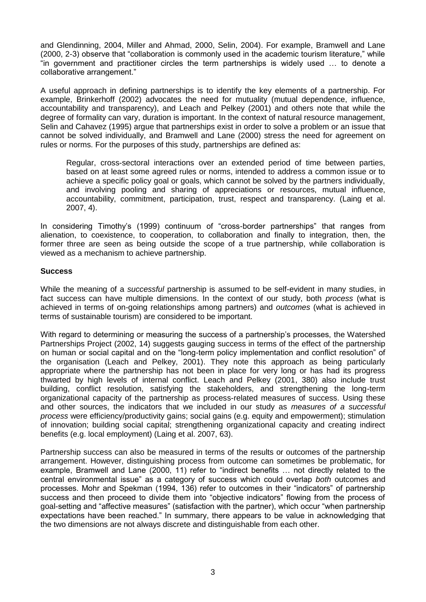and Glendinning, 2004, Miller and Ahmad, 2000, Selin, 2004). For example, Bramwell and Lane (2000, 2-3) observe that "collaboration is commonly used in the academic tourism literature," while "in government and practitioner circles the term partnerships is widely used … to denote a collaborative arrangement."

A useful approach in defining partnerships is to identify the key elements of a partnership. For example, Brinkerhoff (2002) advocates the need for mutuality (mutual dependence, influence, accountability and transparency), and Leach and Pelkey (2001) and others note that while the degree of formality can vary, duration is important. In the context of natural resource management, Selin and Cahavez (1995) argue that partnerships exist in order to solve a problem or an issue that cannot be solved individually, and Bramwell and Lane (2000) stress the need for agreement on rules or norms. For the purposes of this study, partnerships are defined as:

Regular, cross-sectoral interactions over an extended period of time between parties, based on at least some agreed rules or norms, intended to address a common issue or to achieve a specific policy goal or goals, which cannot be solved by the partners individually, and involving pooling and sharing of appreciations or resources, mutual influence, accountability, commitment, participation, trust, respect and transparency. (Laing et al. 2007, 4).

In considering Timothy's (1999) continuum of "cross-border partnerships" that ranges from alienation, to coexistence, to cooperation, to collaboration and finally to integration, then, the former three are seen as being outside the scope of a true partnership, while collaboration is viewed as a mechanism to achieve partnership.

#### **Success**

While the meaning of a *successful* partnership is assumed to be self-evident in many studies, in fact success can have multiple dimensions. In the context of our study, both *process* (what is achieved in terms of on-going relationships among partners) and *outcomes* (what is achieved in terms of sustainable tourism) are considered to be important.

With regard to determining or measuring the success of a partnership's processes, the Watershed Partnerships Project (2002, 14) suggests gauging success in terms of the effect of the partnership on human or social capital and on the "long-term policy implementation and conflict resolution" of the organisation (Leach and Pelkey, 2001). They note this approach as being particularly appropriate where the partnership has not been in place for very long or has had its progress thwarted by high levels of internal conflict. Leach and Pelkey (2001, 380) also include trust building, conflict resolution, satisfying the stakeholders, and strengthening the long-term organizational capacity of the partnership as process-related measures of success. Using these and other sources, the indicators that we included in our study as *measures of a successful process* were efficiency/productivity gains; social gains (e.g. equity and empowerment); stimulation of innovation; building social capital; strengthening organizational capacity and creating indirect benefits (e.g. local employment) (Laing et al. 2007, 63).

Partnership success can also be measured in terms of the results or outcomes of the partnership arrangement. However, distinguishing process from outcome can sometimes be problematic, for example, Bramwell and Lane (2000, 11) refer to "indirect benefits … not directly related to the central environmental issue" as a category of success which could overlap *both* outcomes and processes. Mohr and Spekman (1994, 136) refer to outcomes in their "indicators" of partnership success and then proceed to divide them into "objective indicators" flowing from the process of goal-setting and "affective measures" (satisfaction with the partner), which occur "when partnership expectations have been reached." In summary, there appears to be value in acknowledging that the two dimensions are not always discrete and distinguishable from each other.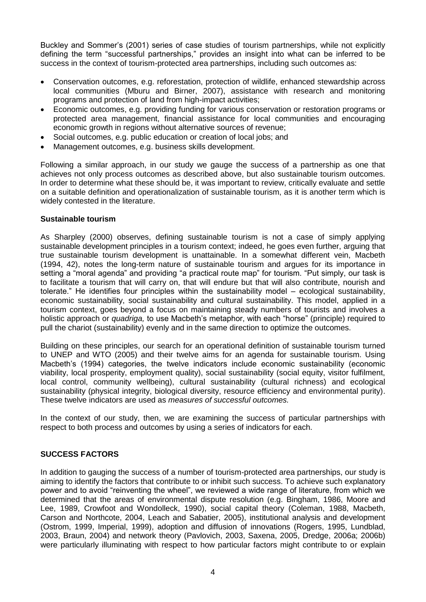Buckley and Sommer's (2001) series of case studies of tourism partnerships, while not explicitly defining the term "successful partnerships," provides an insight into what can be inferred to be success in the context of tourism-protected area partnerships, including such outcomes as:

- Conservation outcomes, e.g. reforestation, protection of wildlife, enhanced stewardship across local communities (Mburu and Birner, 2007), assistance with research and monitoring programs and protection of land from high-impact activities;
- Economic outcomes, e.g. providing funding for various conservation or restoration programs or protected area management, financial assistance for local communities and encouraging economic growth in regions without alternative sources of revenue;
- Social outcomes, e.g. public education or creation of local jobs; and
- Management outcomes, e.g. business skills development.

Following a similar approach, in our study we gauge the success of a partnership as one that achieves not only process outcomes as described above, but also sustainable tourism outcomes. In order to determine what these should be, it was important to review, critically evaluate and settle on a suitable definition and operationalization of sustainable tourism, as it is another term which is widely contested in the literature.

#### **Sustainable tourism**

As Sharpley (2000) observes, defining sustainable tourism is not a case of simply applying sustainable development principles in a tourism context; indeed, he goes even further, arguing that true sustainable tourism development is unattainable. In a somewhat different vein, Macbeth (1994, 42), notes the long-term nature of sustainable tourism and argues for its importance in setting a "moral agenda" and providing "a practical route map" for tourism. "Put simply, our task is to facilitate a tourism that will carry on, that will endure but that will also contribute, nourish and tolerate." He identifies four principles within the sustainability model – ecological sustainability, economic sustainability, social sustainability and cultural sustainability. This model, applied in a tourism context, goes beyond a focus on maintaining steady numbers of tourists and involves a holistic approach or *quadriga,* to use Macbeth's metaphor, with each "horse" (principle) required to pull the chariot (sustainability) evenly and in the same direction to optimize the outcomes.

Building on these principles, our search for an operational definition of sustainable tourism turned to UNEP and WTO (2005) and their twelve aims for an agenda for sustainable tourism. Using Macbeth's (1994) categories, the twelve indicators include economic sustainability (economic viability, local prosperity, employment quality), social sustainability (social equity, visitor fulfilment, local control, community wellbeing), cultural sustainability (cultural richness) and ecological sustainability (physical integrity, biological diversity, resource efficiency and environmental purity). These twelve indicators are used as *measures of successful outcomes.*

In the context of our study, then, we are examining the success of particular partnerships with respect to both process and outcomes by using a series of indicators for each.

#### **SUCCESS FACTORS**

In addition to gauging the success of a number of tourism-protected area partnerships, our study is aiming to identify the factors that contribute to or inhibit such success. To achieve such explanatory power and to avoid "reinventing the wheel", we reviewed a wide range of literature, from which we determined that the areas of environmental dispute resolution (e.g. Bingham, 1986, Moore and Lee, 1989, Crowfoot and Wondolleck, 1990), social capital theory (Coleman, 1988, Macbeth, Carson and Northcote, 2004, Leach and Sabatier, 2005), institutional analysis and development (Ostrom, 1999, Imperial, 1999), adoption and diffusion of innovations (Rogers, 1995, Lundblad, 2003, Braun, 2004) and network theory (Pavlovich, 2003, Saxena, 2005, Dredge, 2006a; 2006b) were particularly illuminating with respect to how particular factors might contribute to or explain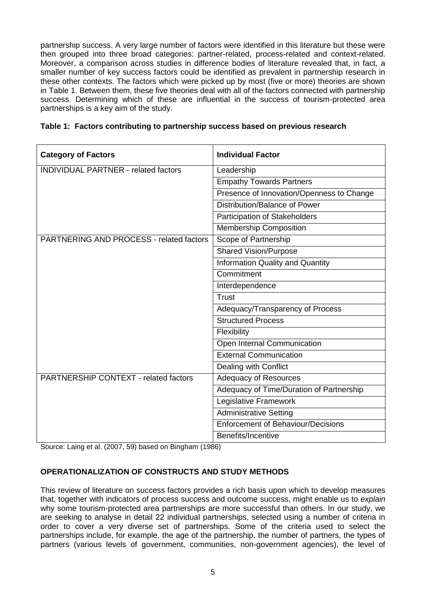partnership success. A very large number of factors were identified in this literature but these were then grouped into three broad categories: partner-related, process-related and context-related. Moreover, a comparison across studies in difference bodies of literature revealed that, in fact, a smaller number of key success factors could be identified as prevalent in partnership research in these other contexts. The factors which were picked up by most (five or more) theories are shown in Table 1. Between them, these five theories deal with all of the factors connected with partnership success. Determining which of these are influential in the success of tourism-protected area partnerships is a key aim of the study.

| <b>Category of Factors</b>                      | <b>Individual Factor</b>                  |  |  |
|-------------------------------------------------|-------------------------------------------|--|--|
| <b>INDIVIDUAL PARTNER - related factors</b>     | Leadership                                |  |  |
|                                                 | <b>Empathy Towards Partners</b>           |  |  |
|                                                 | Presence of Innovation/Openness to Change |  |  |
|                                                 | Distribution/Balance of Power             |  |  |
|                                                 | Participation of Stakeholders             |  |  |
|                                                 | <b>Membership Composition</b>             |  |  |
| <b>PARTNERING AND PROCESS - related factors</b> | Scope of Partnership                      |  |  |
|                                                 | <b>Shared Vision/Purpose</b>              |  |  |
|                                                 | <b>Information Quality and Quantity</b>   |  |  |
|                                                 | Commitment                                |  |  |
|                                                 | Interdependence                           |  |  |
|                                                 | <b>Trust</b>                              |  |  |
|                                                 | Adequacy/Transparency of Process          |  |  |
|                                                 | <b>Structured Process</b>                 |  |  |
|                                                 | Flexibility                               |  |  |
|                                                 | Open Internal Communication               |  |  |
|                                                 | <b>External Communication</b>             |  |  |
|                                                 | Dealing with Conflict                     |  |  |
| <b>PARTNERSHIP CONTEXT - related factors</b>    | <b>Adequacy of Resources</b>              |  |  |
|                                                 | Adequacy of Time/Duration of Partnership  |  |  |
|                                                 | Legislative Framework                     |  |  |
|                                                 | <b>Administrative Setting</b>             |  |  |
|                                                 | <b>Enforcement of Behaviour/Decisions</b> |  |  |

| Table 1: Factors contributing to partnership success based on previous research |  |  |  |
|---------------------------------------------------------------------------------|--|--|--|
|                                                                                 |  |  |  |

Source: Laing et al. (2007, 59) based on Bingham (1986)

# **OPERATIONALIZATION OF CONSTRUCTS AND STUDY METHODS**

This review of literature on success factors provides a rich basis upon which to develop measures that, together with indicators of process success and outcome success, might enable us to *explain* why some tourism-protected area partnerships are more successful than others. In our study, we are seeking to analyse in detail 22 individual partnerships, selected using a number of criteria in order to cover a very diverse set of partnerships. Some of the criteria used to select the partnerships include, for example, the age of the partnership, the number of partners, the types of partners (various levels of government, communities, non-government agencies), the level of

Benefits/Incentive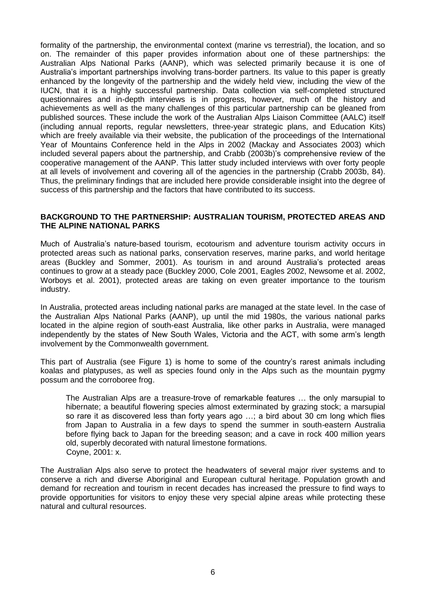formality of the partnership, the environmental context (marine vs terrestrial), the location, and so on. The remainder of this paper provides information about one of these partnerships: the Australian Alps National Parks (AANP), which was selected primarily because it is one of Australia's important partnerships involving trans-border partners. Its value to this paper is greatly enhanced by the longevity of the partnership and the widely held view, including the view of the IUCN, that it is a highly successful partnership. Data collection via self-completed structured questionnaires and in-depth interviews is in progress, however, much of the history and achievements as well as the many challenges of this particular partnership can be gleaned from published sources. These include the work of the Australian Alps Liaison Committee (AALC) itself (including annual reports, regular newsletters, three-year strategic plans, and Education Kits) which are freely available via their website, the publication of the proceedings of the International Year of Mountains Conference held in the Alps in 2002 (Mackay and Associates 2003) which included several papers about the partnership, and Crabb (2003b)'s comprehensive review of the cooperative management of the AANP. This latter study included interviews with over forty people at all levels of involvement and covering all of the agencies in the partnership (Crabb 2003b, 84). Thus, the preliminary findings that are included here provide considerable insight into the degree of success of this partnership and the factors that have contributed to its success.

#### **BACKGROUND TO THE PARTNERSHIP: AUSTRALIAN TOURISM, PROTECTED AREAS AND THE ALPINE NATIONAL PARKS**

Much of Australia's nature-based tourism, ecotourism and adventure tourism activity occurs in protected areas such as national parks, conservation reserves, marine parks, and world heritage areas (Buckley and Sommer, 2001). As tourism in and around Australia's protected areas continues to grow at a steady pace (Buckley 2000, Cole 2001, Eagles 2002, Newsome et al. 2002, Worboys et al. 2001), protected areas are taking on even greater importance to the tourism industry.

In Australia, protected areas including national parks are managed at the state level. In the case of the Australian Alps National Parks (AANP), up until the mid 1980s, the various national parks located in the alpine region of south-east Australia, like other parks in Australia, were managed independently by the states of New South Wales, Victoria and the ACT, with some arm's length involvement by the Commonwealth government.

This part of Australia (see Figure 1) is home to some of the country's rarest animals including koalas and platypuses, as well as species found only in the Alps such as the mountain pygmy possum and the corroboree frog.

The Australian Alps are a treasure-trove of remarkable features … the only marsupial to hibernate; a beautiful flowering species almost exterminated by grazing stock; a marsupial so rare it as discovered less than forty years ago ...; a bird about 30 cm long which flies from Japan to Australia in a few days to spend the summer in south-eastern Australia before flying back to Japan for the breeding season; and a cave in rock 400 million years old, superbly decorated with natural limestone formations. Coyne, 2001: x.

The Australian Alps also serve to protect the headwaters of several major river systems and to conserve a rich and diverse Aboriginal and European cultural heritage. Population growth and demand for recreation and tourism in recent decades has increased the pressure to find ways to provide opportunities for visitors to enjoy these very special alpine areas while protecting these natural and cultural resources.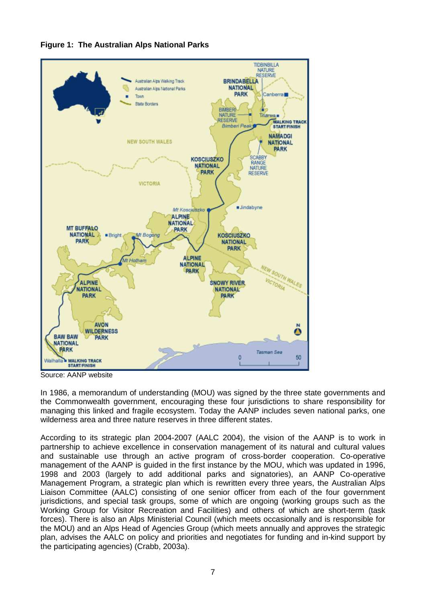

# **Figure 1: The Australian Alps National Parks**

Source: AANP website

In 1986, a memorandum of understanding (MOU) was signed by the three state governments and the Commonwealth government, encouraging these four jurisdictions to share responsibility for managing this linked and fragile ecosystem. Today the AANP includes seven national parks, one wilderness area and three nature reserves in three different states.

According to its strategic plan 2004-2007 (AALC 2004), the vision of the AANP is to work in partnership to achieve excellence in conservation management of its natural and cultural values and sustainable use through an active program of cross-border cooperation. Co-operative management of the AANP is guided in the first instance by the MOU, which was updated in 1996, 1998 and 2003 (largely to add additional parks and signatories), an AANP Co-operative Management Program, a strategic plan which is rewritten every three years, the Australian Alps Liaison Committee (AALC) consisting of one senior officer from each of the four government jurisdictions, and special task groups, some of which are ongoing (working groups such as the Working Group for Visitor Recreation and Facilities) and others of which are short-term (task forces). There is also an Alps Ministerial Council (which meets occasionally and is responsible for the MOU) and an Alps Head of Agencies Group (which meets annually and approves the strategic plan, advises the AALC on policy and priorities and negotiates for funding and in-kind support by the participating agencies) (Crabb, 2003a).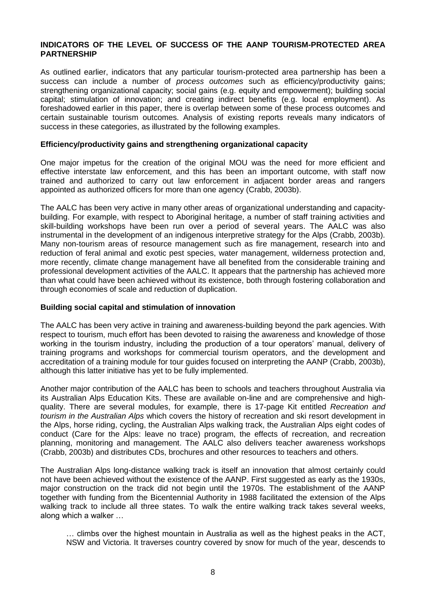#### **INDICATORS OF THE LEVEL OF SUCCESS OF THE AANP TOURISM-PROTECTED AREA PARTNERSHIP**

As outlined earlier, indicators that any particular tourism-protected area partnership has been a success can include a number of *process outcomes* such as efficiency/productivity gains; strengthening organizational capacity; social gains (e.g. equity and empowerment); building social capital; stimulation of innovation; and creating indirect benefits (e.g. local employment). As foreshadowed earlier in this paper, there is overlap between some of these process outcomes and certain sustainable tourism outcomes. Analysis of existing reports reveals many indicators of success in these categories, as illustrated by the following examples.

#### **Efficiency/productivity gains and strengthening organizational capacity**

One major impetus for the creation of the original MOU was the need for more efficient and effective interstate law enforcement, and this has been an important outcome, with staff now trained and authorized to carry out law enforcement in adjacent border areas and rangers appointed as authorized officers for more than one agency (Crabb, 2003b).

The AALC has been very active in many other areas of organizational understanding and capacitybuilding. For example, with respect to Aboriginal heritage, a number of staff training activities and skill-building workshops have been run over a period of several years. The AALC was also instrumental in the development of an indigenous interpretive strategy for the Alps (Crabb, 2003b). Many non-tourism areas of resource management such as fire management, research into and reduction of feral animal and exotic pest species, water management, wilderness protection and, more recently, climate change management have all benefited from the considerable training and professional development activities of the AALC. It appears that the partnership has achieved more than what could have been achieved without its existence, both through fostering collaboration and through economies of scale and reduction of duplication.

#### **Building social capital and stimulation of innovation**

The AALC has been very active in training and awareness-building beyond the park agencies. With respect to tourism, much effort has been devoted to raising the awareness and knowledge of those working in the tourism industry, including the production of a tour operators' manual, delivery of training programs and workshops for commercial tourism operators, and the development and accreditation of a training module for tour guides focused on interpreting the AANP (Crabb, 2003b), although this latter initiative has yet to be fully implemented.

Another major contribution of the AALC has been to schools and teachers throughout Australia via its Australian Alps Education Kits. These are available on-line and are comprehensive and highquality. There are several modules, for example, there is 17-page Kit entitled *Recreation and tourism in the Australian Alps* which covers the history of recreation and ski resort development in the Alps, horse riding, cycling, the Australian Alps walking track, the Australian Alps eight codes of conduct (Care for the Alps: leave no trace) program, the effects of recreation, and recreation planning, monitoring and management. The AALC also delivers teacher awareness workshops (Crabb, 2003b) and distributes CDs, brochures and other resources to teachers and others.

The Australian Alps long-distance walking track is itself an innovation that almost certainly could not have been achieved without the existence of the AANP. First suggested as early as the 1930s, major construction on the track did not begin until the 1970s. The establishment of the AANP together with funding from the Bicentennial Authority in 1988 facilitated the extension of the Alps walking track to include all three states. To walk the entire walking track takes several weeks, along which a walker …

… climbs over the highest mountain in Australia as well as the highest peaks in the ACT, NSW and Victoria. It traverses country covered by snow for much of the year, descends to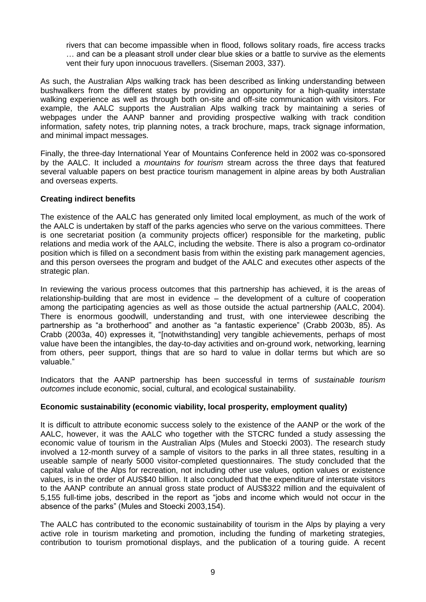rivers that can become impassible when in flood, follows solitary roads, fire access tracks … and can be a pleasant stroll under clear blue skies or a battle to survive as the elements vent their fury upon innocuous travellers. (Siseman 2003, 337).

As such, the Australian Alps walking track has been described as linking understanding between bushwalkers from the different states by providing an opportunity for a high-quality interstate walking experience as well as through both on-site and off-site communication with visitors. For example, the AALC supports the Australian Alps walking track by maintaining a series of webpages under the AANP banner and providing prospective walking with track condition information, safety notes, trip planning notes, a track brochure, maps, track signage information, and minimal impact messages.

Finally, the three-day International Year of Mountains Conference held in 2002 was co-sponsored by the AALC. It included a *mountains for tourism* stream across the three days that featured several valuable papers on best practice tourism management in alpine areas by both Australian and overseas experts.

#### **Creating indirect benefits**

The existence of the AALC has generated only limited local employment, as much of the work of the AALC is undertaken by staff of the parks agencies who serve on the various committees. There is one secretariat position (a community projects officer) responsible for the marketing, public relations and media work of the AALC, including the website. There is also a program co-ordinator position which is filled on a secondment basis from within the existing park management agencies, and this person oversees the program and budget of the AALC and executes other aspects of the strategic plan.

In reviewing the various process outcomes that this partnership has achieved, it is the areas of relationship-building that are most in evidence – the development of a culture of cooperation among the participating agencies as well as those outside the actual partnership (AALC, 2004). There is enormous goodwill, understanding and trust, with one interviewee describing the partnership as "a brotherhood" and another as "a fantastic experience" (Crabb 2003b, 85). As Crabb (2003a, 40) expresses it, "[notwithstanding] very tangible achievements, perhaps of most value have been the intangibles, the day-to-day activities and on-ground work, networking, learning from others, peer support, things that are so hard to value in dollar terms but which are so valuable."

Indicators that the AANP partnership has been successful in terms of *sustainable tourism outcomes* include economic, social, cultural, and ecological sustainability.

#### **Economic sustainability (economic viability, local prosperity, employment quality)**

It is difficult to attribute economic success solely to the existence of the AANP or the work of the AALC, however, it was the AALC who together with the STCRC funded a study assessing the economic value of tourism in the Australian Alps (Mules and Stoecki 2003). The research study involved a 12-month survey of a sample of visitors to the parks in all three states, resulting in a useable sample of nearly 5000 visitor-completed questionnaires. The study concluded that the capital value of the Alps for recreation, not including other use values, option values or existence values, is in the order of AUS\$40 billion. It also concluded that the expenditure of interstate visitors to the AANP contribute an annual gross state product of AUS\$322 million and the equivalent of 5,155 full-time jobs, described in the report as "jobs and income which would not occur in the absence of the parks" (Mules and Stoecki 2003,154).

The AALC has contributed to the economic sustainability of tourism in the Alps by playing a very active role in tourism marketing and promotion, including the funding of marketing strategies, contribution to tourism promotional displays, and the publication of a touring guide. A recent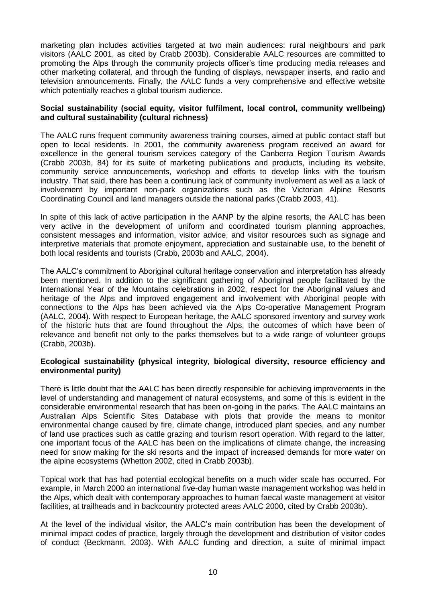marketing plan includes activities targeted at two main audiences: rural neighbours and park visitors (AALC 2001, as cited by Crabb 2003b). Considerable AALC resources are committed to promoting the Alps through the community projects officer's time producing media releases and other marketing collateral, and through the funding of displays, newspaper inserts, and radio and television announcements. Finally, the AALC funds a very comprehensive and effective website which potentially reaches a global tourism audience.

#### **Social sustainability (social equity, visitor fulfilment, local control, community wellbeing) and cultural sustainability (cultural richness)**

The AALC runs frequent community awareness training courses, aimed at public contact staff but open to local residents. In 2001, the community awareness program received an award for excellence in the general tourism services category of the Canberra Region Tourism Awards (Crabb 2003b, 84) for its suite of marketing publications and products, including its website, community service announcements, workshop and efforts to develop links with the tourism industry. That said, there has been a continuing lack of community involvement as well as a lack of involvement by important non-park organizations such as the Victorian Alpine Resorts Coordinating Council and land managers outside the national parks (Crabb 2003, 41).

In spite of this lack of active participation in the AANP by the alpine resorts, the AALC has been very active in the development of uniform and coordinated tourism planning approaches, consistent messages and information, visitor advice, and visitor resources such as signage and interpretive materials that promote enjoyment, appreciation and sustainable use, to the benefit of both local residents and tourists (Crabb, 2003b and AALC, 2004).

The AALC's commitment to Aboriginal cultural heritage conservation and interpretation has already been mentioned. In addition to the significant gathering of Aboriginal people facilitated by the International Year of the Mountains celebrations in 2002, respect for the Aboriginal values and heritage of the Alps and improved engagement and involvement with Aboriginal people with connections to the Alps has been achieved via the Alps Co-operative Management Program (AALC, 2004). With respect to European heritage, the AALC sponsored inventory and survey work of the historic huts that are found throughout the Alps, the outcomes of which have been of relevance and benefit not only to the parks themselves but to a wide range of volunteer groups (Crabb, 2003b).

#### **Ecological sustainability (physical integrity, biological diversity, resource efficiency and environmental purity)**

There is little doubt that the AALC has been directly responsible for achieving improvements in the level of understanding and management of natural ecosystems, and some of this is evident in the considerable environmental research that has been on-going in the parks. The AALC maintains an Australian Alps Scientific Sites Database with plots that provide the means to monitor environmental change caused by fire, climate change, introduced plant species, and any number of land use practices such as cattle grazing and tourism resort operation. With regard to the latter, one important focus of the AALC has been on the implications of climate change, the increasing need for snow making for the ski resorts and the impact of increased demands for more water on the alpine ecosystems (Whetton 2002, cited in Crabb 2003b).

Topical work that has had potential ecological benefits on a much wider scale has occurred. For example, in March 2000 an international five-day human waste management workshop was held in the Alps, which dealt with contemporary approaches to human faecal waste management at visitor facilities, at trailheads and in backcountry protected areas AALC 2000, cited by Crabb 2003b).

At the level of the individual visitor, the AALC's main contribution has been the development of minimal impact codes of practice, largely through the development and distribution of visitor codes of conduct (Beckmann, 2003). With AALC funding and direction, a suite of minimal impact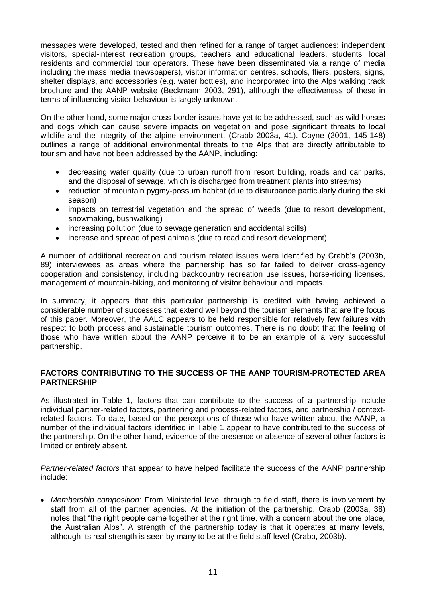messages were developed, tested and then refined for a range of target audiences: independent visitors, special-interest recreation groups, teachers and educational leaders, students, local residents and commercial tour operators. These have been disseminated via a range of media including the mass media (newspapers), visitor information centres, schools, fliers, posters, signs, shelter displays, and accessories (e.g. water bottles), and incorporated into the Alps walking track brochure and the AANP website (Beckmann 2003, 291), although the effectiveness of these in terms of influencing visitor behaviour is largely unknown.

On the other hand, some major cross-border issues have yet to be addressed, such as wild horses and dogs which can cause severe impacts on vegetation and pose significant threats to local wildlife and the integrity of the alpine environment. (Crabb 2003a, 41). Coyne (2001, 145-148) outlines a range of additional environmental threats to the Alps that are directly attributable to tourism and have not been addressed by the AANP, including:

- decreasing water quality (due to urban runoff from resort building, roads and car parks, and the disposal of sewage, which is discharged from treatment plants into streams)
- reduction of mountain pygmy-possum habitat (due to disturbance particularly during the ski season)
- impacts on terrestrial vegetation and the spread of weeds (due to resort development, snowmaking, bushwalking)
- increasing pollution (due to sewage generation and accidental spills)
- increase and spread of pest animals (due to road and resort development)

A number of additional recreation and tourism related issues were identified by Crabb's (2003b, 89) interviewees as areas where the partnership has so far failed to deliver cross-agency cooperation and consistency, including backcountry recreation use issues, horse-riding licenses, management of mountain-biking, and monitoring of visitor behaviour and impacts.

In summary, it appears that this particular partnership is credited with having achieved a considerable number of successes that extend well beyond the tourism elements that are the focus of this paper. Moreover, the AALC appears to be held responsible for relatively few failures with respect to both process and sustainable tourism outcomes. There is no doubt that the feeling of those who have written about the AANP perceive it to be an example of a very successful partnership.

### **FACTORS CONTRIBUTING TO THE SUCCESS OF THE AANP TOURISM-PROTECTED AREA PARTNERSHIP**

As illustrated in Table 1, factors that can contribute to the success of a partnership include individual partner-related factors, partnering and process-related factors, and partnership / contextrelated factors. To date, based on the perceptions of those who have written about the AANP, a number of the individual factors identified in Table 1 appear to have contributed to the success of the partnership. On the other hand, evidence of the presence or absence of several other factors is limited or entirely absent.

*Partner-related factors* that appear to have helped facilitate the success of the AANP partnership include:

 *Membership composition:* From Ministerial level through to field staff, there is involvement by staff from all of the partner agencies. At the initiation of the partnership, Crabb (2003a, 38) notes that "the right people came together at the right time, with a concern about the one place, the Australian Alps". A strength of the partnership today is that it operates at many levels, although its real strength is seen by many to be at the field staff level (Crabb, 2003b).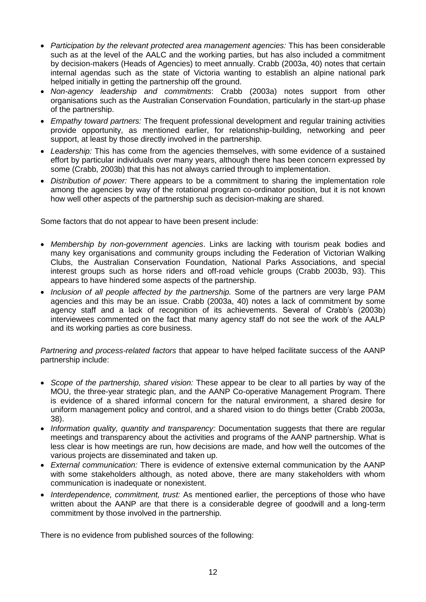- *Participation by the relevant protected area management agencies:* This has been considerable such as at the level of the AALC and the working parties, but has also included a commitment by decision-makers (Heads of Agencies) to meet annually. Crabb (2003a, 40) notes that certain internal agendas such as the state of Victoria wanting to establish an alpine national park helped initially in getting the partnership off the ground.
- *Non-agency leadership and commitments*: Crabb (2003a) notes support from other organisations such as the Australian Conservation Foundation, particularly in the start-up phase of the partnership.
- *Empathy toward partners:* The frequent professional development and regular training activities provide opportunity, as mentioned earlier, for relationship-building, networking and peer support, at least by those directly involved in the partnership.
- *Leadership:* This has come from the agencies themselves, with some evidence of a sustained effort by particular individuals over many years, although there has been concern expressed by some (Crabb, 2003b) that this has not always carried through to implementation.
- *Distribution of power:* There appears to be a commitment to sharing the implementation role among the agencies by way of the rotational program co-ordinator position, but it is not known how well other aspects of the partnership such as decision-making are shared.

Some factors that do not appear to have been present include:

- *Membership by non-government agencies*. Links are lacking with tourism peak bodies and many key organisations and community groups including the Federation of Victorian Walking Clubs, the Australian Conservation Foundation, National Parks Associations, and special interest groups such as horse riders and off-road vehicle groups (Crabb 2003b, 93). This appears to have hindered some aspects of the partnership.
- *Inclusion of all people affected by the partnership.* Some of the partners are very large PAM agencies and this may be an issue. Crabb (2003a, 40) notes a lack of commitment by some agency staff and a lack of recognition of its achievements. Several of Crabb's (2003b) interviewees commented on the fact that many agency staff do not see the work of the AALP and its working parties as core business.

*Partnering and process-related factors* that appear to have helped facilitate success of the AANP partnership include:

- *Scope of the partnership, shared vision:* These appear to be clear to all parties by way of the MOU, the three-year strategic plan, and the AANP Co-operative Management Program. There is evidence of a shared informal concern for the natural environment, a shared desire for uniform management policy and control, and a shared vision to do things better (Crabb 2003a, 38).
- *Information quality, quantity and transparency:* Documentation suggests that there are regular meetings and transparency about the activities and programs of the AANP partnership. What is less clear is how meetings are run, how decisions are made, and how well the outcomes of the various projects are disseminated and taken up.
- *External communication:* There is evidence of extensive external communication by the AANP with some stakeholders although, as noted above, there are many stakeholders with whom communication is inadequate or nonexistent.
- *Interdependence, commitment, trust:* As mentioned earlier, the perceptions of those who have written about the AANP are that there is a considerable degree of goodwill and a long-term commitment by those involved in the partnership.

There is no evidence from published sources of the following: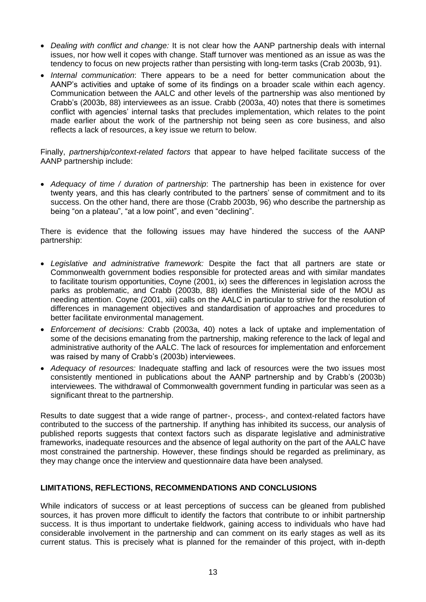- *Dealing with conflict and change:* It is not clear how the AANP partnership deals with internal issues, nor how well it copes with change. Staff turnover was mentioned as an issue as was the tendency to focus on new projects rather than persisting with long-term tasks (Crab 2003b, 91).
- *Internal communication*: There appears to be a need for better communication about the AANP's activities and uptake of some of its findings on a broader scale within each agency. Communication between the AALC and other levels of the partnership was also mentioned by Crabb's (2003b, 88) interviewees as an issue. Crabb (2003a, 40) notes that there is sometimes conflict with agencies' internal tasks that precludes implementation, which relates to the point made earlier about the work of the partnership not being seen as core business, and also reflects a lack of resources, a key issue we return to below.

Finally, *partnership/context-related factors* that appear to have helped facilitate success of the AANP partnership include:

 *Adequacy of time / duration of partnership*: The partnership has been in existence for over twenty years, and this has clearly contributed to the partners' sense of commitment and to its success. On the other hand, there are those (Crabb 2003b, 96) who describe the partnership as being "on a plateau", "at a low point", and even "declining".

There is evidence that the following issues may have hindered the success of the AANP partnership:

- *Legislative and administrative framework:* Despite the fact that all partners are state or Commonwealth government bodies responsible for protected areas and with similar mandates to facilitate tourism opportunities, Coyne (2001, ix) sees the differences in legislation across the parks as problematic, and Crabb (2003b, 88) identifies the Ministerial side of the MOU as needing attention. Coyne (2001, xiii) calls on the AALC in particular to strive for the resolution of differences in management objectives and standardisation of approaches and procedures to better facilitate environmental management.
- *Enforcement of decisions:* Crabb (2003a, 40) notes a lack of uptake and implementation of some of the decisions emanating from the partnership, making reference to the lack of legal and administrative authority of the AALC. The lack of resources for implementation and enforcement was raised by many of Crabb's (2003b) interviewees.
- *Adequacy of resources:* Inadequate staffing and lack of resources were the two issues most consistently mentioned in publications about the AANP partnership and by Crabb's (2003b) interviewees. The withdrawal of Commonwealth government funding in particular was seen as a significant threat to the partnership.

Results to date suggest that a wide range of partner-, process-, and context-related factors have contributed to the success of the partnership. If anything has inhibited its success, our analysis of published reports suggests that context factors such as disparate legislative and administrative frameworks, inadequate resources and the absence of legal authority on the part of the AALC have most constrained the partnership. However, these findings should be regarded as preliminary, as they may change once the interview and questionnaire data have been analysed.

# **LIMITATIONS, REFLECTIONS, RECOMMENDATIONS AND CONCLUSIONS**

While indicators of success or at least perceptions of success can be gleaned from published sources, it has proven more difficult to identify the factors that contribute to or inhibit partnership success. It is thus important to undertake fieldwork, gaining access to individuals who have had considerable involvement in the partnership and can comment on its early stages as well as its current status. This is precisely what is planned for the remainder of this project, with in-depth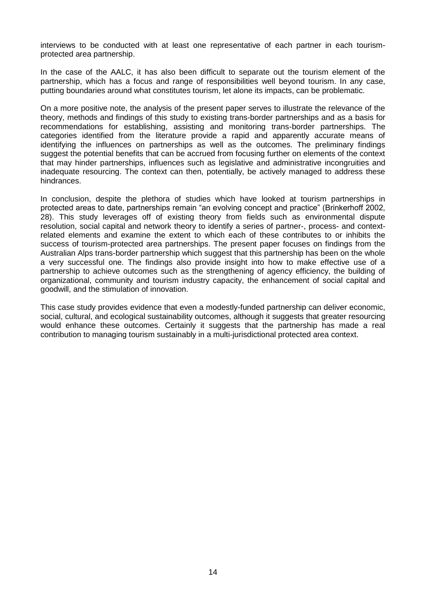interviews to be conducted with at least one representative of each partner in each tourismprotected area partnership.

In the case of the AALC, it has also been difficult to separate out the tourism element of the partnership, which has a focus and range of responsibilities well beyond tourism. In any case, putting boundaries around what constitutes tourism, let alone its impacts, can be problematic.

On a more positive note, the analysis of the present paper serves to illustrate the relevance of the theory, methods and findings of this study to existing trans-border partnerships and as a basis for recommendations for establishing, assisting and monitoring trans-border partnerships. The categories identified from the literature provide a rapid and apparently accurate means of identifying the influences on partnerships as well as the outcomes. The preliminary findings suggest the potential benefits that can be accrued from focusing further on elements of the context that may hinder partnerships, influences such as legislative and administrative incongruities and inadequate resourcing. The context can then, potentially, be actively managed to address these hindrances.

In conclusion, despite the plethora of studies which have looked at tourism partnerships in protected areas to date, partnerships remain "an evolving concept and practice" (Brinkerhoff 2002, 28). This study leverages off of existing theory from fields such as environmental dispute resolution, social capital and network theory to identify a series of partner-, process- and contextrelated elements and examine the extent to which each of these contributes to or inhibits the success of tourism-protected area partnerships. The present paper focuses on findings from the Australian Alps trans-border partnership which suggest that this partnership has been on the whole a very successful one. The findings also provide insight into how to make effective use of a partnership to achieve outcomes such as the strengthening of agency efficiency, the building of organizational, community and tourism industry capacity, the enhancement of social capital and goodwill, and the stimulation of innovation.

This case study provides evidence that even a modestly-funded partnership can deliver economic, social, cultural, and ecological sustainability outcomes, although it suggests that greater resourcing would enhance these outcomes. Certainly it suggests that the partnership has made a real contribution to managing tourism sustainably in a multi-jurisdictional protected area context.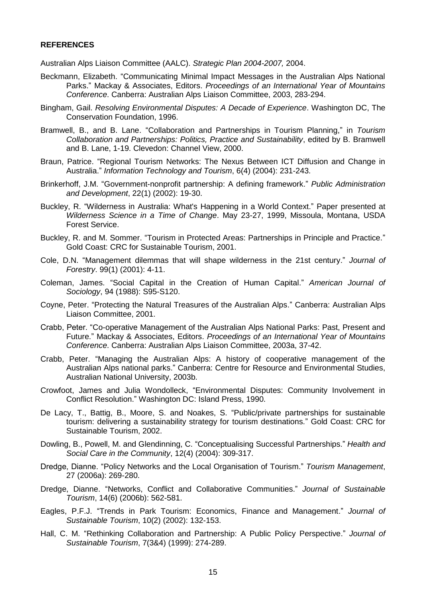#### **REFERENCES**

Australian Alps Liaison Committee (AALC). *Strategic Plan 2004-2007,* 2004.

- Beckmann, Elizabeth. "Communicating Minimal Impact Messages in the Australian Alps National Parks." Mackay & Associates, Editors. *Proceedings of an International Year of Mountains Conference*. Canberra: Australian Alps Liaison Committee, 2003, 283-294.
- Bingham, Gail. *Resolving Environmental Disputes: A Decade of Experience*. Washington DC, The Conservation Foundation, 1996.
- Bramwell, B., and B. Lane. "Collaboration and Partnerships in Tourism Planning," in *Tourism Collaboration and Partnerships: Politics, Practice and Sustainability*, edited by B. Bramwell and B. Lane, 1-19. Clevedon: Channel View, 2000.
- Braun, Patrice. "Regional Tourism Networks: The Nexus Between ICT Diffusion and Change in Australia." *Information Technology and Tourism*, 6(4) (2004): 231-243.
- Brinkerhoff, J.M. "Government-nonprofit partnership: A defining framework." *Public Administration and Development*, 22(1) (2002): 19-30.
- Buckley, R. "Wilderness in Australia: What's Happening in a World Context." Paper presented at *Wilderness Science in a Time of Change*. May 23-27, 1999, Missoula, Montana, USDA Forest Service.
- Buckley, R. and M. Sommer. "Tourism in Protected Areas: Partnerships in Principle and Practice." Gold Coast: CRC for Sustainable Tourism, 2001.
- Cole, D.N. "Management dilemmas that will shape wilderness in the 21st century." *Journal of Forestry*. 99(1) (2001): 4-11.
- Coleman, James. "Social Capital in the Creation of Human Capital." *American Journal of Sociology*, 94 (1988): S95-S120.
- Coyne, Peter. "Protecting the Natural Treasures of the Australian Alps." Canberra: Australian Alps Liaison Committee, 2001.
- Crabb, Peter. "Co-operative Management of the Australian Alps National Parks: Past, Present and Future." Mackay & Associates, Editors. *Proceedings of an International Year of Mountains Conference*. Canberra: Australian Alps Liaison Committee, 2003a, 37-42.
- Crabb, Peter. "Managing the Australian Alps: A history of cooperative management of the Australian Alps national parks." Canberra: Centre for Resource and Environmental Studies, Australian National University, 2003b.
- Crowfoot, James and Julia Wondolleck, "Environmental Disputes: Community Involvement in Conflict Resolution." Washington DC: Island Press, 1990.
- De Lacy, T., Battig, B., Moore, S. and Noakes, S. "Public/private partnerships for sustainable tourism: delivering a sustainability strategy for tourism destinations." Gold Coast: CRC for Sustainable Tourism, 2002.
- Dowling, B., Powell, M. and Glendinning, C. "Conceptualising Successful Partnerships." *Health and Social Care in the Community*, 12(4) (2004): 309-317.
- Dredge, Dianne. "Policy Networks and the Local Organisation of Tourism." *Tourism Management*, 27 (2006a): 269-280.
- Dredge, Dianne. "Networks, Conflict and Collaborative Communities." *Journal of Sustainable Tourism*, 14(6) (2006b): 562-581.
- Eagles, P.F.J. "Trends in Park Tourism: Economics, Finance and Management." *Journal of Sustainable Tourism*, 10(2) (2002): 132-153.
- Hall, C. M. "Rethinking Collaboration and Partnership: A Public Policy Perspective." *Journal of Sustainable Tourism*, 7(3&4) (1999): 274-289.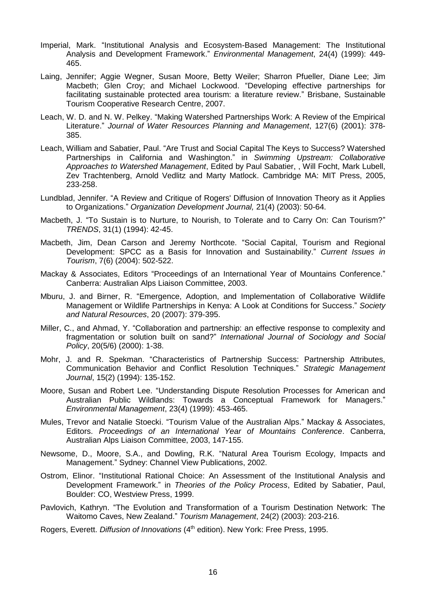- Imperial, Mark. "Institutional Analysis and Ecosystem-Based Management: The Institutional Analysis and Development Framework." *Environmental Management*, 24(4) (1999): 449- 465.
- Laing, Jennifer; Aggie Wegner, Susan Moore, Betty Weiler; Sharron Pfueller, Diane Lee; Jim Macbeth; Glen Croy; and Michael Lockwood. "Developing effective partnerships for facilitating sustainable protected area tourism: a literature review." Brisbane, Sustainable Tourism Cooperative Research Centre, 2007.
- Leach, W. D. and N. W. Pelkey. "Making Watershed Partnerships Work: A Review of the Empirical Literature." *Journal of Water Resources Planning and Management*, 127(6) (2001): 378- 385.
- Leach, William and Sabatier, Paul. "Are Trust and Social Capital The Keys to Success? Watershed Partnerships in California and Washington." in *Swimming Upstream: Collaborative Approaches to Watershed Management*, Edited by Paul Sabatier, , Will Focht, Mark Lubell, Zev Trachtenberg, Arnold Vedlitz and Marty Matlock. Cambridge MA: MIT Press, 2005, 233-258.
- Lundblad, Jennifer. "A Review and Critique of Rogers' Diffusion of Innovation Theory as it Applies to Organizations." *Organization Development Journal,* 21(4) (2003): 50-64.
- Macbeth, J. "To Sustain is to Nurture, to Nourish, to Tolerate and to Carry On: Can Tourism?" *TRENDS*, 31(1) (1994): 42-45.
- Macbeth, Jim, Dean Carson and Jeremy Northcote. "Social Capital, Tourism and Regional Development: SPCC as a Basis for Innovation and Sustainability." *Current Issues in Tourism*, 7(6) (2004): 502-522.
- Mackay & Associates, Editors "Proceedings of an International Year of Mountains Conference." Canberra: Australian Alps Liaison Committee, 2003.
- Mburu, J. and Birner, R. "Emergence, Adoption, and Implementation of Collaborative Wildlife Management or Wildlife Partnerships in Kenya: A Look at Conditions for Success." *Society and Natural Resources*, 20 (2007): 379-395.
- Miller, C., and Ahmad, Y. "Collaboration and partnership: an effective response to complexity and fragmentation or solution built on sand?" *International Journal of Sociology and Social Policy*, 20(5/6) (2000): 1-38.
- Mohr, J. and R. Spekman. "Characteristics of Partnership Success: Partnership Attributes, Communication Behavior and Conflict Resolution Techniques." *Strategic Management Journal*, 15(2) (1994): 135-152.
- Moore, Susan and Robert Lee. "Understanding Dispute Resolution Processes for American and Australian Public Wildlands: Towards a Conceptual Framework for Managers." *Environmental Management*, 23(4) (1999): 453-465.
- Mules, Trevor and Natalie Stoecki. "Tourism Value of the Australian Alps." Mackay & Associates, Editors. *Proceedings of an International Year of Mountains Conference*. Canberra, Australian Alps Liaison Committee, 2003, 147-155.
- Newsome, D., Moore, S.A., and Dowling, R.K. "Natural Area Tourism Ecology, Impacts and Management." Sydney: Channel View Publications, 2002.
- Ostrom, Elinor. "Institutional Rational Choice: An Assessment of the Institutional Analysis and Development Framework." in *Theories of the Policy Process*, Edited by Sabatier, Paul, Boulder: CO, Westview Press, 1999.
- Pavlovich, Kathryn. "The Evolution and Transformation of a Tourism Destination Network: The Waitomo Caves, New Zealand." *Tourism Management*, 24(2) (2003): 203-216.
- Rogers, Everett. *Diffusion of Innovations* (4<sup>th</sup> edition). New York: Free Press, 1995.